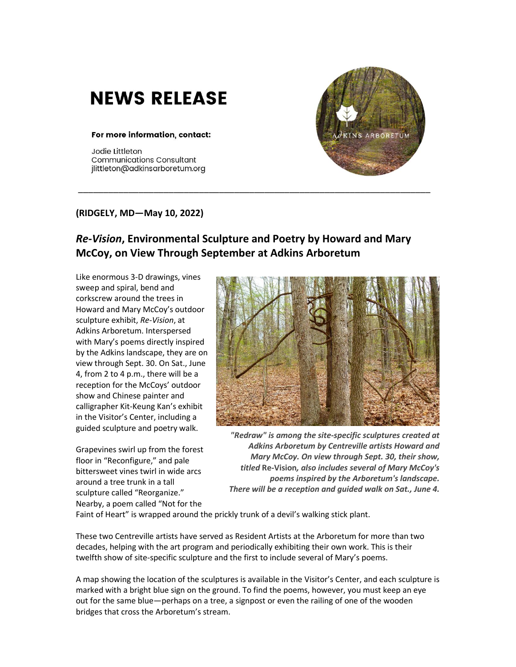## **NEWS RELEASE**

## For more information, contact:

Jodie Littleton **Communications Consultant** jlittleton@adkinsarboretum.org



## **(RIDGELY, MD—May 10, 2022)**

## *Re-Vision***, Environmental Sculpture and Poetry by Howard and Mary McCoy, on View Through September at Adkins Arboretum**

\_\_\_\_\_\_\_\_\_\_\_\_\_\_\_\_\_\_\_\_\_\_\_\_\_\_\_\_\_\_\_\_\_\_\_\_\_\_\_\_\_\_\_\_\_\_\_\_\_\_\_\_\_\_\_\_\_\_\_\_\_\_\_\_\_\_\_\_\_\_

Like enormous 3-D drawings, vines sweep and spiral, bend and corkscrew around the trees in Howard and Mary McCoy's outdoor sculpture exhibit, *Re-Vision*, at Adkins Arboretum. Interspersed with Mary's poems directly inspired by the Adkins landscape, they are on view through Sept. 30. On Sat., June 4, from 2 to 4 p.m., there will be a reception for the McCoys' outdoor show and Chinese painter and calligrapher Kit-Keung Kan's exhibit in the Visitor's Center, including a guided sculpture and poetry walk.

Grapevines swirl up from the forest floor in "Reconfigure," and pale bittersweet vines twirl in wide arcs around a tree trunk in a tall sculpture called "Reorganize." Nearby, a poem called "Not for the



*"Redraw" is among the site-specific sculptures created at Adkins Arboretum by Centreville artists Howard and Mary McCoy. On view through Sept. 30, their show, titled* **Re-Vision***, also includes several of Mary McCoy's poems inspired by the Arboretum's landscape. There will be a reception and guided walk on Sat., June 4.*

Faint of Heart" is wrapped around the prickly trunk of a devil's walking stick plant.

These two Centreville artists have served as Resident Artists at the Arboretum for more than two decades, helping with the art program and periodically exhibiting their own work. This is their twelfth show of site-specific sculpture and the first to include several of Mary's poems.

A map showing the location of the sculptures is available in the Visitor's Center, and each sculpture is marked with a bright blue sign on the ground. To find the poems, however, you must keep an eye out for the same blue—perhaps on a tree, a signpost or even the railing of one of the wooden bridges that cross the Arboretum's stream.